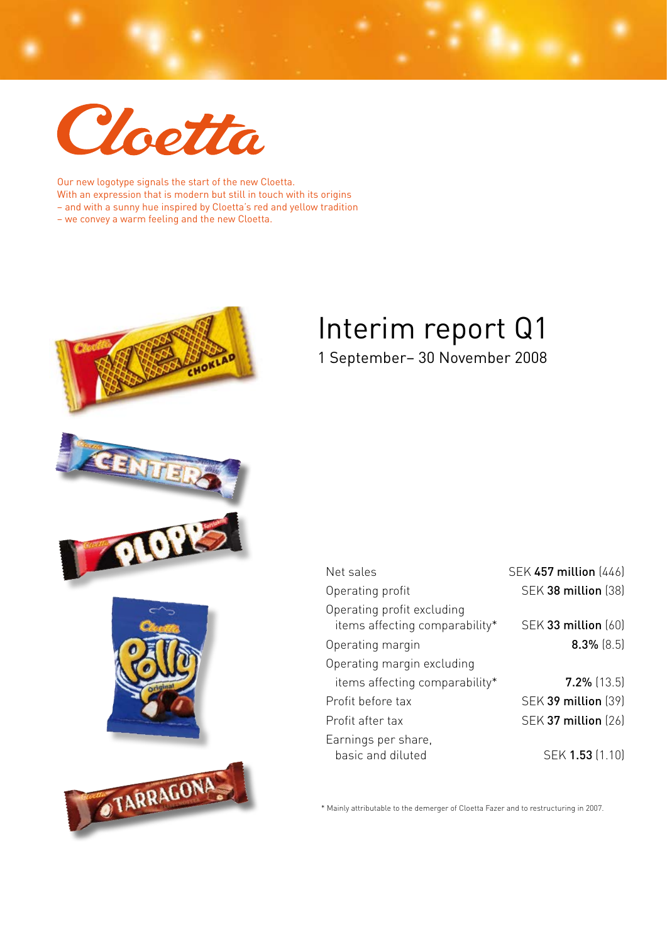

Our new logotype signals the start of the new Cloetta. With an expression that is modern but still in touch with its origins – and with a sunny hue inspired by Cloetta's red and yellow tradition – we convey a warm feeling and the new Cloetta.



OTARRAGONA

# Interim report Q1 1 September– 30 November 2008

| Net sales                                                    | SEK 457 million (446)      |
|--------------------------------------------------------------|----------------------------|
| Operating profit                                             | <b>SEK 38 million (38)</b> |
| Operating profit excluding<br>items affecting comparability* | SEK 33 million (60)        |
| Operating margin                                             | $8.3\%$ (8.5)              |
| Operating margin excluding                                   |                            |
| items affecting comparability*                               | $7.2\%$ (13.5)             |
| Profit before tax                                            | <b>SEK 39 million (39)</b> |
| Profit after tax                                             | <b>SEK 37 million (26)</b> |
| Earnings per share,<br>basic and diluted                     | SEK 1.53 (1.10)            |

\* Mainly attributable to the demerger of Cloetta Fazer and to restructuring in 2007.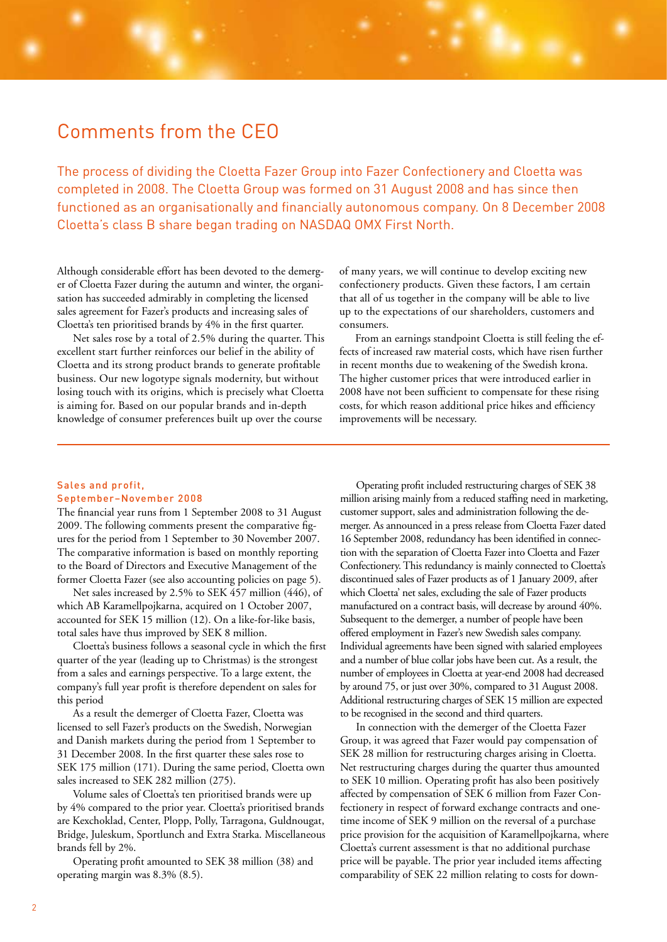### Comments from the CEO

The process of dividing the Cloetta Fazer Group into Fazer Confectionery and Cloetta was completed in 2008. The Cloetta Group was formed on 31 August 2008 and has since then functioned as an organisationally and financially autonomous company. On 8 December 2008 Cloetta's class B share began trading on NASDAQ OMX First North.

Although considerable effort has been devoted to the demerger of Cloetta Fazer during the autumn and winter, the organisation has succeeded admirably in completing the licensed sales agreement for Fazer's products and increasing sales of Cloetta's ten prioritised brands by 4% in the first quarter.

Net sales rose by a total of 2.5% during the quarter. This excellent start further reinforces our belief in the ability of Cloetta and its strong product brands to generate profitable business. Our new logotype signals modernity, but without losing touch with its origins, which is precisely what Cloetta is aiming for. Based on our popular brands and in-depth knowledge of consumer preferences built up over the course

of many years, we will continue to develop exciting new confectionery products. Given these factors, I am certain that all of us together in the company will be able to live up to the expectations of our shareholders, customers and consumers.

From an earnings standpoint Cloetta is still feeling the effects of increased raw material costs, which have risen further in recent months due to weakening of the Swedish krona. The higher customer prices that were introduced earlier in 2008 have not been sufficient to compensate for these rising costs, for which reason additional price hikes and efficiency improvements will be necessary.

### Sales and profit, September–November 2008

The financial year runs from 1 September 2008 to 31 August 2009. The following comments present the comparative figures for the period from 1 September to 30 November 2007. The comparative information is based on monthly reporting to the Board of Directors and Executive Management of the former Cloetta Fazer (see also accounting policies on page 5).

Net sales increased by 2.5% to SEK 457 million (446), of which AB Karamellpojkarna, acquired on 1 October 2007, accounted for SEK 15 million (12). On a like-for-like basis, total sales have thus improved by SEK 8 million.

Cloetta's business follows a seasonal cycle in which the first quarter of the year (leading up to Christmas) is the strongest from a sales and earnings perspective. To a large extent, the company's full year profit is therefore dependent on sales for this period

As a result the demerger of Cloetta Fazer, Cloetta was licensed to sell Fazer's products on the Swedish, Norwegian and Danish markets during the period from 1 September to 31 December 2008. In the first quarter these sales rose to SEK 175 million (171). During the same period, Cloetta own sales increased to SEK 282 million (275).

Volume sales of Cloetta's ten prioritised brands were up by 4% compared to the prior year. Cloetta's prioritised brands are Kexchoklad, Center, Plopp, Polly, Tarragona, Guldnougat, Bridge, Juleskum, Sportlunch and Extra Starka. Miscellaneous brands fell by 2%.

Operating profit amounted to SEK 38 million (38) and operating margin was 8.3% (8.5).

Operating profit included restructuring charges of SEK 38 million arising mainly from a reduced staffing need in marketing, customer support, sales and administration following the demerger. As announced in a press release from Cloetta Fazer dated 16 September 2008, redundancy has been identified in connection with the separation of Cloetta Fazer into Cloetta and Fazer Confectionery. This redundancy is mainly connected to Cloetta's discontinued sales of Fazer products as of 1 January 2009, after which Cloetta' net sales, excluding the sale of Fazer products manufactured on a contract basis, will decrease by around 40%. Subsequent to the demerger, a number of people have been offered employment in Fazer's new Swedish sales company. Individual agreements have been signed with salaried employees and a number of blue collar jobs have been cut. As a result, the number of employees in Cloetta at year-end 2008 had decreased by around 75, or just over 30%, compared to 31 August 2008. Additional restructuring charges of SEK 15 million are expected to be recognised in the second and third quarters.

In connection with the demerger of the Cloetta Fazer Group, it was agreed that Fazer would pay compensation of SEK 28 million for restructuring charges arising in Cloetta. Net restructuring charges during the quarter thus amounted to SEK 10 million. Operating profit has also been positively affected by compensation of SEK 6 million from Fazer Confectionery in respect of forward exchange contracts and onetime income of SEK 9 million on the reversal of a purchase price provision for the acquisition of Karamellpojkarna, where Cloetta's current assessment is that no additional purchase price will be payable. The prior year included items affecting comparability of SEK 22 million relating to costs for down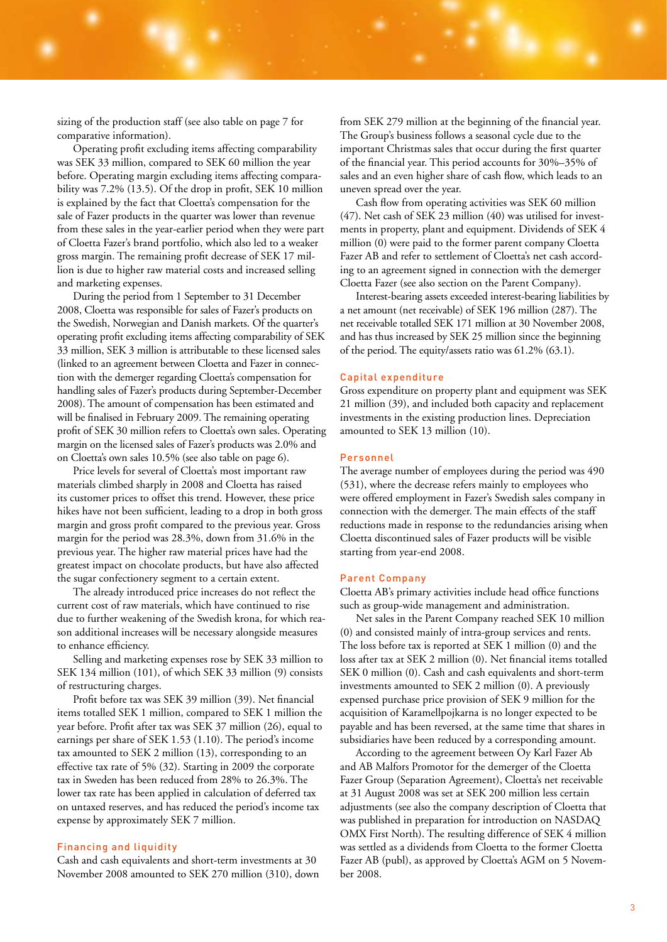sizing of the production staff (see also table on page 7 for comparative information).

Operating profit excluding items affecting comparability was SEK 33 million, compared to SEK 60 million the year before. Operating margin excluding items affecting comparability was 7.2% (13.5). Of the drop in profit, SEK 10 million is explained by the fact that Cloetta's compensation for the sale of Fazer products in the quarter was lower than revenue from these sales in the year-earlier period when they were part of Cloetta Fazer's brand portfolio, which also led to a weaker gross margin. The remaining profit decrease of SEK 17 million is due to higher raw material costs and increased selling and marketing expenses.

During the period from 1 September to 31 December 2008, Cloetta was responsible for sales of Fazer's products on the Swedish, Norwegian and Danish markets. Of the quarter's operating profit excluding items affecting comparability of SEK 33 million, SEK 3 million is attributable to these licensed sales (linked to an agreement between Cloetta and Fazer in connection with the demerger regarding Cloetta's compensation for handling sales of Fazer's products during September-December 2008). The amount of compensation has been estimated and will be finalised in February 2009. The remaining operating profit of SEK 30 million refers to Cloetta's own sales. Operating margin on the licensed sales of Fazer's products was 2.0% and on Cloetta's own sales 10.5% (see also table on page 6).

Price levels for several of Cloetta's most important raw materials climbed sharply in 2008 and Cloetta has raised its customer prices to offset this trend. However, these price hikes have not been sufficient, leading to a drop in both gross margin and gross profit compared to the previous year. Gross margin for the period was 28.3%, down from 31.6% in the previous year. The higher raw material prices have had the greatest impact on chocolate products, but have also affected the sugar confectionery segment to a certain extent.

The already introduced price increases do not reflect the current cost of raw materials, which have continued to rise due to further weakening of the Swedish krona, for which reason additional increases will be necessary alongside measures to enhance efficiency.

Selling and marketing expenses rose by SEK 33 million to SEK 134 million (101), of which SEK 33 million (9) consists of restructuring charges.

Profit before tax was SEK 39 million (39). Net financial items totalled SEK 1 million, compared to SEK 1 million the year before. Profit after tax was SEK 37 million (26), equal to earnings per share of SEK 1.53 (1.10). The period's income tax amounted to SEK 2 million (13), corresponding to an effective tax rate of 5% (32). Starting in 2009 the corporate tax in Sweden has been reduced from 28% to 26.3%. The lower tax rate has been applied in calculation of deferred tax on untaxed reserves, and has reduced the period's income tax expense by approximately SEK 7 million.

#### Financing and liquidity

Cash and cash equivalents and short-term investments at 30 November 2008 amounted to SEK 270 million (310), down from SEK 279 million at the beginning of the financial year. The Group's business follows a seasonal cycle due to the important Christmas sales that occur during the first quarter of the financial year. This period accounts for 30%–35% of sales and an even higher share of cash flow, which leads to an uneven spread over the year.

Cash flow from operating activities was SEK 60 million (47). Net cash of SEK 23 million (40) was utilised for investments in property, plant and equipment. Dividends of SEK 4 million (0) were paid to the former parent company Cloetta Fazer AB and refer to settlement of Cloetta's net cash according to an agreement signed in connection with the demerger Cloetta Fazer (see also section on the Parent Company).

Interest-bearing assets exceeded interest-bearing liabilities by a net amount (net receivable) of SEK 196 million (287). The net receivable totalled SEK 171 million at 30 November 2008, and has thus increased by SEK 25 million since the beginning of the period. The equity/assets ratio was 61.2% (63.1).

#### Capital expenditure

Gross expenditure on property plant and equipment was SEK 21 million (39), and included both capacity and replacement investments in the existing production lines. Depreciation amounted to SEK 13 million (10).

#### Personnel

The average number of employees during the period was 490 (531), where the decrease refers mainly to employees who were offered employment in Fazer's Swedish sales company in connection with the demerger. The main effects of the staff reductions made in response to the redundancies arising when Cloetta discontinued sales of Fazer products will be visible starting from year-end 2008.

#### Parent Company

Cloetta AB's primary activities include head office functions such as group-wide management and administration.

Net sales in the Parent Company reached SEK 10 million (0) and consisted mainly of intra-group services and rents. The loss before tax is reported at SEK 1 million (0) and the loss after tax at SEK 2 million (0). Net financial items totalled SEK 0 million (0). Cash and cash equivalents and short-term investments amounted to SEK 2 million (0). A previously expensed purchase price provision of SEK 9 million for the acquisition of Karamellpojkarna is no longer expected to be payable and has been reversed, at the same time that shares in subsidiaries have been reduced by a corresponding amount.

According to the agreement between Oy Karl Fazer Ab and AB Malfors Promotor for the demerger of the Cloetta Fazer Group (Separation Agreement), Cloetta's net receivable at 31 August 2008 was set at SEK 200 million less certain adjustments (see also the company description of Cloetta that was published in preparation for introduction on NASDAQ OMX First North). The resulting difference of SEK 4 million was settled as a dividends from Cloetta to the former Cloetta Fazer AB (publ), as approved by Cloetta's AGM on 5 November 2008.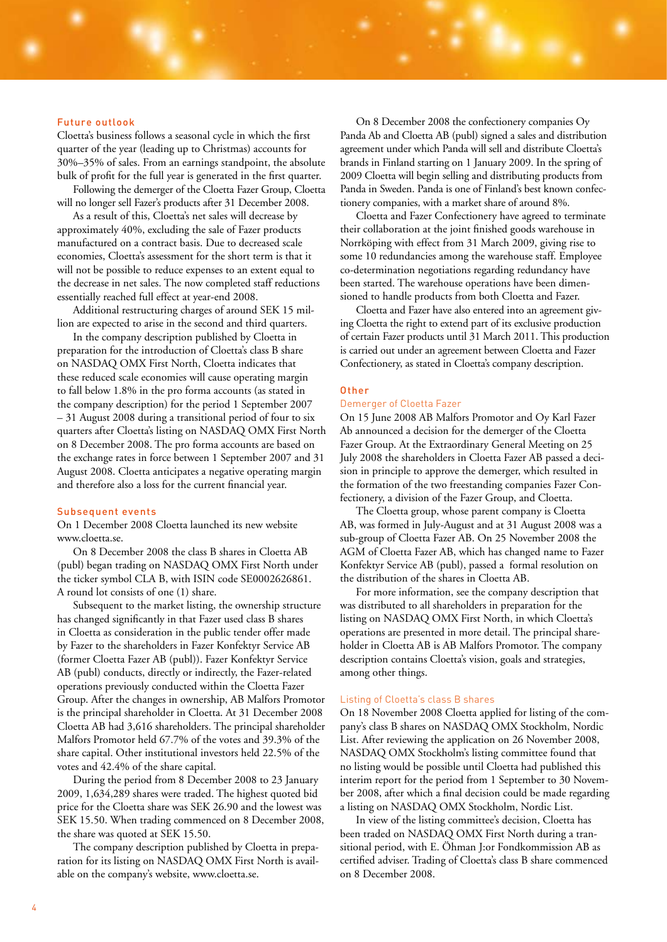#### Future outlook

Cloetta's business follows a seasonal cycle in which the first quarter of the year (leading up to Christmas) accounts for 30%–35% of sales. From an earnings standpoint, the absolute bulk of profit for the full year is generated in the first quarter.

Following the demerger of the Cloetta Fazer Group, Cloetta will no longer sell Fazer's products after 31 December 2008.

As a result of this, Cloetta's net sales will decrease by approximately 40%, excluding the sale of Fazer products manufactured on a contract basis. Due to decreased scale economies, Cloetta's assessment for the short term is that it will not be possible to reduce expenses to an extent equal to the decrease in net sales. The now completed staff reductions essentially reached full effect at year-end 2008.

Additional restructuring charges of around SEK 15 million are expected to arise in the second and third quarters.

In the company description published by Cloetta in preparation for the introduction of Cloetta's class B share on NASDAQ OMX First North, Cloetta indicates that these reduced scale economies will cause operating margin to fall below 1.8% in the pro forma accounts (as stated in the company description) for the period 1 September 2007 – 31 August 2008 during a transitional period of four to six quarters after Cloetta's listing on NASDAQ OMX First North on 8 December 2008. The pro forma accounts are based on the exchange rates in force between 1 September 2007 and 31 August 2008. Cloetta anticipates a negative operating margin and therefore also a loss for the current financial year.

#### Subsequent events

On 1 December 2008 Cloetta launched its new website www.cloetta.se.

On 8 December 2008 the class B shares in Cloetta AB (publ) began trading on NASDAQ OMX First North under the ticker symbol CLA B, with ISIN code SE0002626861. A round lot consists of one (1) share.

Subsequent to the market listing, the ownership structure has changed significantly in that Fazer used class B shares in Cloetta as consideration in the public tender offer made by Fazer to the shareholders in Fazer Konfektyr Service AB (former Cloetta Fazer AB (publ)). Fazer Konfektyr Service AB (publ) conducts, directly or indirectly, the Fazer-related operations previously conducted within the Cloetta Fazer Group. After the changes in ownership, AB Malfors Promotor is the principal shareholder in Cloetta. At 31 December 2008 Cloetta AB had 3,616 shareholders. The principal shareholder Malfors Promotor held 67.7% of the votes and 39.3% of the share capital. Other institutional investors held 22.5% of the votes and 42.4% of the share capital.

During the period from 8 December 2008 to 23 January 2009, 1,634,289 shares were traded. The highest quoted bid price for the Cloetta share was SEK 26.90 and the lowest was SEK 15.50. When trading commenced on 8 December 2008, the share was quoted at SEK 15.50.

The company description published by Cloetta in preparation for its listing on NASDAQ OMX First North is available on the company's website, www.cloetta.se.

On 8 December 2008 the confectionery companies Oy Panda Ab and Cloetta AB (publ) signed a sales and distribution agreement under which Panda will sell and distribute Cloetta's brands in Finland starting on 1 January 2009. In the spring of 2009 Cloetta will begin selling and distributing products from Panda in Sweden. Panda is one of Finland's best known confectionery companies, with a market share of around 8%.

Cloetta and Fazer Confectionery have agreed to terminate their collaboration at the joint finished goods warehouse in Norrköping with effect from 31 March 2009, giving rise to some 10 redundancies among the warehouse staff. Employee co-determination negotiations regarding redundancy have been started. The warehouse operations have been dimensioned to handle products from both Cloetta and Fazer.

Cloetta and Fazer have also entered into an agreement giving Cloetta the right to extend part of its exclusive production of certain Fazer products until 31 March 2011. This production is carried out under an agreement between Cloetta and Fazer Confectionery, as stated in Cloetta's company description.

#### **Other**

#### Demerger of Cloetta Fazer

On 15 June 2008 AB Malfors Promotor and Oy Karl Fazer Ab announced a decision for the demerger of the Cloetta Fazer Group. At the Extraordinary General Meeting on 25 July 2008 the shareholders in Cloetta Fazer AB passed a decision in principle to approve the demerger, which resulted in the formation of the two freestanding companies Fazer Confectionery, a division of the Fazer Group, and Cloetta.

The Cloetta group, whose parent company is Cloetta AB, was formed in July-August and at 31 August 2008 was a sub-group of Cloetta Fazer AB. On 25 November 2008 the AGM of Cloetta Fazer AB, which has changed name to Fazer Konfektyr Service AB (publ), passed a formal resolution on the distribution of the shares in Cloetta AB.

For more information, see the company description that was distributed to all shareholders in preparation for the listing on NASDAQ OMX First North, in which Cloetta's operations are presented in more detail. The principal shareholder in Cloetta AB is AB Malfors Promotor. The company description contains Cloetta's vision, goals and strategies, among other things.

#### Listing of Cloetta's class B shares

On 18 November 2008 Cloetta applied for listing of the company's class B shares on NASDAQ OMX Stockholm, Nordic List. After reviewing the application on 26 November 2008, NASDAQ OMX Stockholm's listing committee found that no listing would be possible until Cloetta had published this interim report for the period from 1 September to 30 November 2008, after which a final decision could be made regarding a listing on NASDAQ OMX Stockholm, Nordic List.

In view of the listing committee's decision, Cloetta has been traded on NASDAQ OMX First North during a transitional period, with E. Öhman J:or Fondkommission AB as certified adviser. Trading of Cloetta's class B share commenced on 8 December 2008.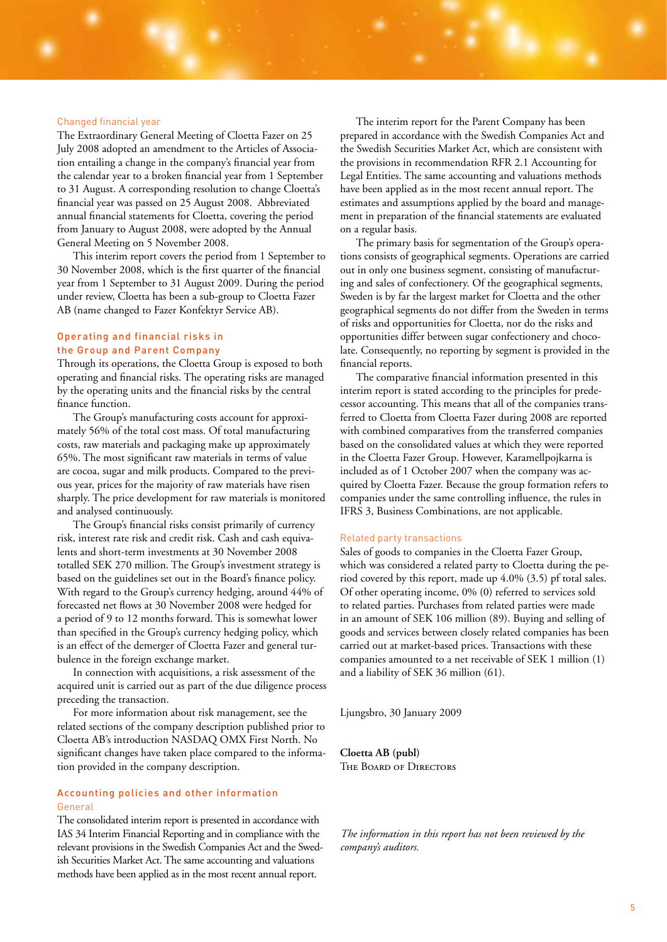### Changed financial year

The Extraordinary General Meeting of Cloetta Fazer on 25 July 2008 adopted an amendment to the Articles of Association entailing a change in the company's financial year from the calendar year to a broken financial year from 1 September to 31 August. A corresponding resolution to change Cloetta's financial year was passed on 25 August 2008. Abbreviated annual financial statements for Cloetta, covering the period from January to August 2008, were adopted by the Annual General Meeting on 5 November 2008.

This interim report covers the period from 1 September to 30 November 2008, which is the first quarter of the financial year from 1 September to 31 August 2009. During the period under review, Cloetta has been a sub-group to Cloetta Fazer AB (name changed to Fazer Konfektyr Service AB).

### Operating and financial risks in the Group and Parent Company

Through its operations, the Cloetta Group is exposed to both operating and financial risks. The operating risks are managed by the operating units and the financial risks by the central finance function.

The Group's manufacturing costs account for approximately 56% of the total cost mass. Of total manufacturing costs, raw materials and packaging make up approximately 65%. The most significant raw materials in terms of value are cocoa, sugar and milk products. Compared to the previous year, prices for the majority of raw materials have risen sharply. The price development for raw materials is monitored and analysed continuously.

The Group's financial risks consist primarily of currency risk, interest rate risk and credit risk. Cash and cash equivalents and short-term investments at 30 November 2008 totalled SEK 270 million. The Group's investment strategy is based on the guidelines set out in the Board's finance policy. With regard to the Group's currency hedging, around 44% of forecasted net flows at 30 November 2008 were hedged for a period of 9 to 12 months forward. This is somewhat lower than specified in the Group's currency hedging policy, which is an effect of the demerger of Cloetta Fazer and general turbulence in the foreign exchange market.

In connection with acquisitions, a risk assessment of the acquired unit is carried out as part of the due diligence process preceding the transaction.

For more information about risk management, see the related sections of the company description published prior to Cloetta AB's introduction NASDAQ OMX First North. No significant changes have taken place compared to the information provided in the company description.

### Accounting policies and other information General

The consolidated interim report is presented in accordance with IAS 34 Interim Financial Reporting and in compliance with the relevant provisions in the Swedish Companies Act and the Swedish Securities Market Act. The same accounting and valuations methods have been applied as in the most recent annual report.

The interim report for the Parent Company has been prepared in accordance with the Swedish Companies Act and the Swedish Securities Market Act, which are consistent with the provisions in recommendation RFR 2.1 Accounting for Legal Entities. The same accounting and valuations methods have been applied as in the most recent annual report. The estimates and assumptions applied by the board and management in preparation of the financial statements are evaluated on a regular basis.

The primary basis for segmentation of the Group's operations consists of geographical segments. Operations are carried out in only one business segment, consisting of manufacturing and sales of confectionery. Of the geographical segments, Sweden is by far the largest market for Cloetta and the other geographical segments do not differ from the Sweden in terms of risks and opportunities for Cloetta, nor do the risks and opportunities differ between sugar confectionery and chocolate. Consequently, no reporting by segment is provided in the financial reports.

The comparative financial information presented in this interim report is stated according to the principles for predecessor accounting. This means that all of the companies transferred to Cloetta from Cloetta Fazer during 2008 are reported with combined comparatives from the transferred companies based on the consolidated values at which they were reported in the Cloetta Fazer Group. However, Karamellpojkarna is included as of 1 October 2007 when the company was acquired by Cloetta Fazer. Because the group formation refers to companies under the same controlling influence, the rules in IFRS 3, Business Combinations, are not applicable.

#### Related party transactions

Sales of goods to companies in the Cloetta Fazer Group, which was considered a related party to Cloetta during the period covered by this report, made up 4.0% (3.5) pf total sales. Of other operating income, 0% (0) referred to services sold to related parties. Purchases from related parties were made in an amount of SEK 106 million (89). Buying and selling of goods and services between closely related companies has been carried out at market-based prices. Transactions with these companies amounted to a net receivable of SEK 1 million (1) and a liability of SEK 36 million (61).

Ljungsbro, 30 January 2009

**Cloetta AB (publ)** The Board of Directors

*The information in this report has not been reviewed by the company's auditors.*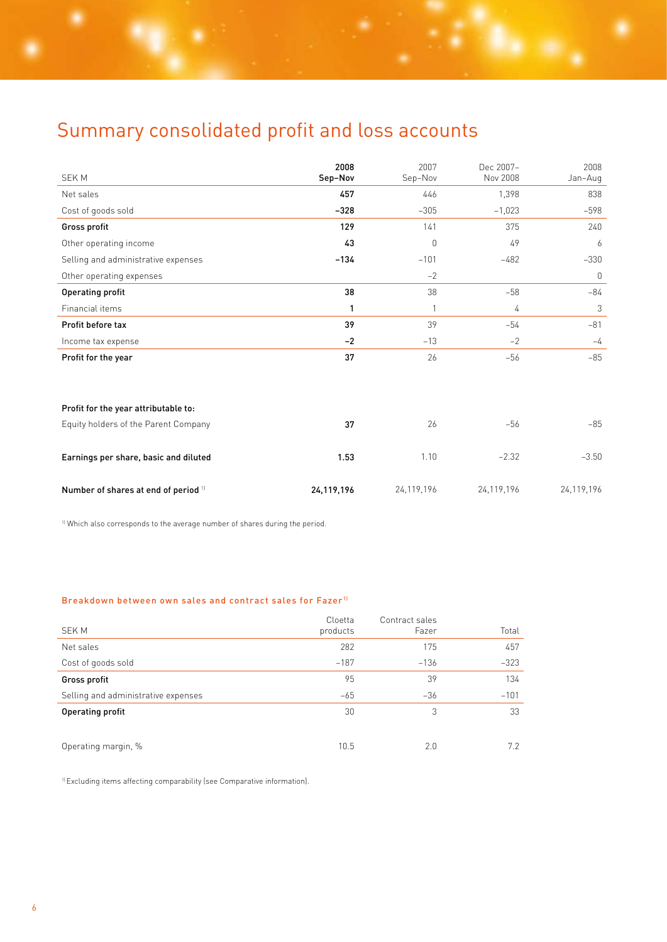## Summary consolidated profit and loss accounts

| <b>SEKM</b>                           | 2008<br>Sep-Nov | 2007<br>Sep-Nov | Dec 2007-<br>Nov 2008 | 2008<br>Jan-Aug |
|---------------------------------------|-----------------|-----------------|-----------------------|-----------------|
| Net sales                             | 457             | 446             | 1,398                 | 838             |
| Cost of goods sold                    | $-328$          | $-305$          | $-1,023$              | $-598$          |
| Gross profit                          | 129             | 141             | 375                   | 240             |
| Other operating income                | 43              | $\theta$        | 49                    | 6               |
| Selling and administrative expenses   | $-134$          | $-101$          | $-482$                | $-330$          |
| Other operating expenses              |                 | $-2$            |                       | $\mathbf 0$     |
| <b>Operating profit</b>               | 38              | 38              | $-58$                 | $-84$           |
| Financial items                       | 1               | 1               | 4                     | 3               |
| Profit before tax                     | 39              | 39              | $-54$                 | $-81$           |
| Income tax expense                    | $-2$            | $-13$           | $-2$                  | $-4$            |
| Profit for the year                   | 37              | 26              | $-56$                 | $-85$           |
|                                       |                 |                 |                       |                 |
| Profit for the year attributable to:  |                 |                 |                       |                 |
| Equity holders of the Parent Company  | 37              | 26              | $-56$                 | $-85$           |
| Earnings per share, basic and diluted | 1.53            | 1.10            | $-2.32$               | $-3.50$         |
| Number of shares at end of period 11  | 24,119,196      | 24,119,196      | 24,119,196            | 24,119,196      |

<sup>1)</sup> Which also corresponds to the average number of shares during the period.

### Breakdown between own sales and contract sales for Fazer<sup>11</sup>

| SEK M                               | Cloetta<br>products | Contract sales<br>Fazer | Total  |
|-------------------------------------|---------------------|-------------------------|--------|
| Net sales                           | 282                 | 175                     | 457    |
| Cost of goods sold                  | $-187$              | $-136$                  | $-323$ |
| Gross profit                        | 95                  | 39                      | 134    |
| Selling and administrative expenses | $-65$               | $-36$                   | $-101$ |
| Operating profit                    | 30                  | 3                       | 33     |
|                                     |                     |                         |        |
| Operating margin, %                 | 10.5                | 2.0                     | 7.2    |

1) Excluding items affecting comparability (see Comparative information).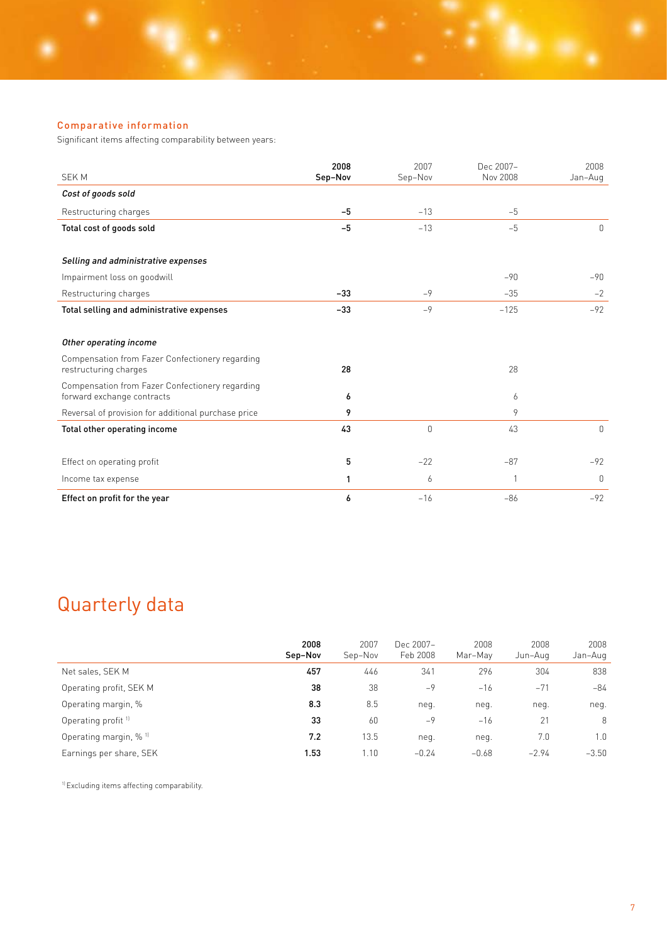Significant items affecting comparability between years:

| <b>SEKM</b>                                                                   | 2008<br>Sep-Nov | 2007<br>Sep-Nov | Dec 2007-<br>Nov 2008 | 2008<br>Jan-Aug |
|-------------------------------------------------------------------------------|-----------------|-----------------|-----------------------|-----------------|
| Cost of goods sold                                                            |                 |                 |                       |                 |
| Restructuring charges                                                         | $-5$            | $-13$           | $-5$                  |                 |
| Total cost of goods sold                                                      | $-5$            | $-13$           | $-5$                  | $\Omega$        |
| Selling and administrative expenses                                           |                 |                 |                       |                 |
| Impairment loss on goodwill                                                   |                 |                 | $-90$                 | $-90$           |
| Restructuring charges                                                         | $-33$           | $-9$            | $-35$                 | $-2$            |
| Total selling and administrative expenses                                     | $-33$           | $-9$            | $-125$                | $-92$           |
| Other operating income                                                        |                 |                 |                       |                 |
| Compensation from Fazer Confectionery regarding<br>restructuring charges      | 28              |                 | 28                    |                 |
| Compensation from Fazer Confectionery regarding<br>forward exchange contracts | 6               |                 | 6                     |                 |
| Reversal of provision for additional purchase price                           | 9               |                 | 9                     |                 |
| Total other operating income                                                  | 43              | 0               | 43                    | 0               |
| Effect on operating profit                                                    | 5               | $-22$           | $-87$                 | $-92$           |
| Income tax expense                                                            | 1               | 6               | 1                     | $\mathbf{0}$    |
| Effect on profit for the year                                                 | 6               | $-16$           | $-86$                 | $-92$           |

## Quarterly data

|                                   | 2008<br>Sep-Nov | 2007<br>Sep-Nov | Dec 2007-<br>Feb 2008 | 2008<br>Mar-May | 2008<br>Jun-Aug | 2008<br>Jan-Aug |
|-----------------------------------|-----------------|-----------------|-----------------------|-----------------|-----------------|-----------------|
| Net sales, SEK M                  | 457             | 446             | 341                   | 296             | 304             | 838             |
| Operating profit, SEK M           | 38              | 38              | $-9$                  | $-16$           | $-71$           | -84             |
| Operating margin, %               | 8.3             | 8.5             | neq.                  | neg.            | neq.            | neg.            |
| Operating profit <sup>11</sup>    | 33              | 60              | $-9$                  | $-16$           | 21              | 8               |
| Operating margin, % <sup>11</sup> | 7.2             | 13.5            | neg.                  | neq.            | 7.0             | 1.0             |
| Earnings per share, SEK           | 1.53            | 1.10            | $-0.24$               | $-0.68$         | $-2.94$         | $-3.50$         |

1) Excluding items affecting comparability.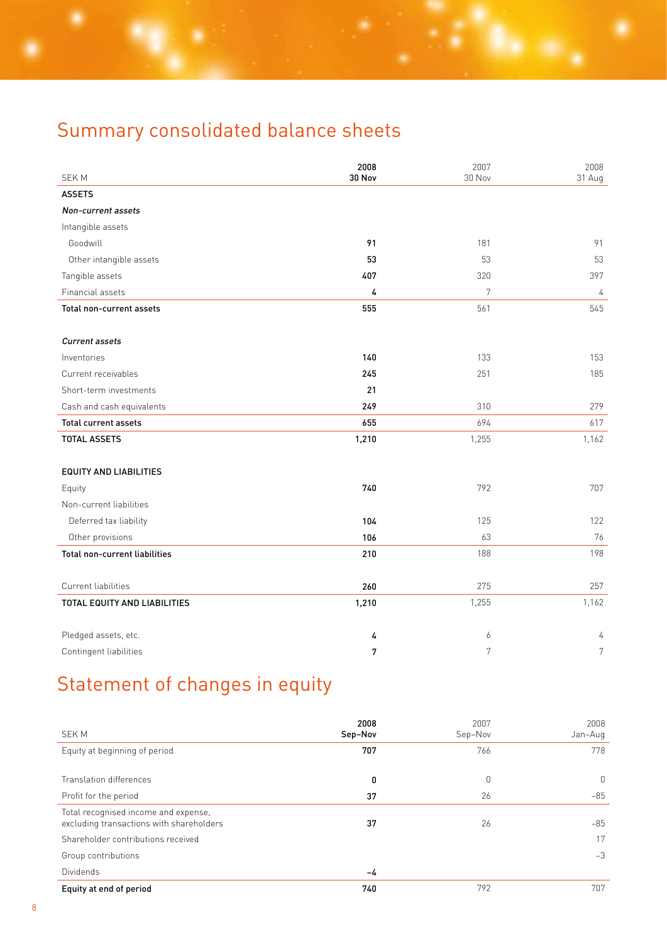# Summary consolidated balance sheets

|                               | 2008   | 2007   | 2008           |
|-------------------------------|--------|--------|----------------|
| <b>SEKM</b>                   | 30 Nov | 30 Nov | 31 Aug         |
| <b>ASSETS</b>                 |        |        |                |
| Non-current assets            |        |        |                |
| Intangible assets             |        |        |                |
| Goodwill                      | 91     | 181    | 91             |
| Other intangible assets       | 53     | 53     | 53             |
| Tangible assets               | 407    | 320    | 397            |
| Financial assets              | 4      | 7      | 4              |
| Total non-current assets      | 555    | 561    | 545            |
|                               |        |        |                |
| Current assets                |        |        |                |
| Inventories                   | 140    | 133    | 153            |
| Current receivables           | 245    | 251    | 185            |
| Short-term investments        | 21     |        |                |
| Cash and cash equivalents     | 249    | 310    | 279            |
| <b>Total current assets</b>   | 655    | 694    | 617            |
| <b>TOTAL ASSETS</b>           | 1,210  | 1,255  | 1,162          |
| <b>EQUITY AND LIABILITIES</b> |        |        |                |
| Equity                        | 740    | 792    | 707            |
| Non-current liabilities       |        |        |                |
| Deferred tax liability        | 104    | 125    | 122            |
| Other provisions              | 106    | 63     | 76             |
| Total non-current liabilities | 210    | 188    | 198            |
| Current liabilities           | 260    | 275    | 257            |
| TOTAL EQUITY AND LIABILITIES  | 1,210  | 1,255  | 1,162          |
|                               |        |        |                |
| Pledged assets, etc.          | 4      | 6      | 4              |
| Contingent liabilities        | 7      | 7      | $\overline{7}$ |

# Statement of changes in equity

| <b>SEKM</b>                                                                      | 2008<br>Sep-Nov | 2007<br>Sep-Nov | 2008<br>Jan-Aug |
|----------------------------------------------------------------------------------|-----------------|-----------------|-----------------|
| Equity at beginning of period                                                    | 707             | 766             | 778             |
| Translation differences                                                          | 0               | 0               | $\mathbf 0$     |
| Profit for the period                                                            | 37              | 26              | $-85$           |
| Total recognised income and expense,<br>excluding transactions with shareholders | 37              | 26              | $-85$           |
| Shareholder contributions received                                               |                 |                 | 17              |
| Group contributions                                                              |                 |                 | $-3$            |
| Dividends                                                                        | -4              |                 |                 |
| Equity at end of period                                                          | 740             | 792             | 707             |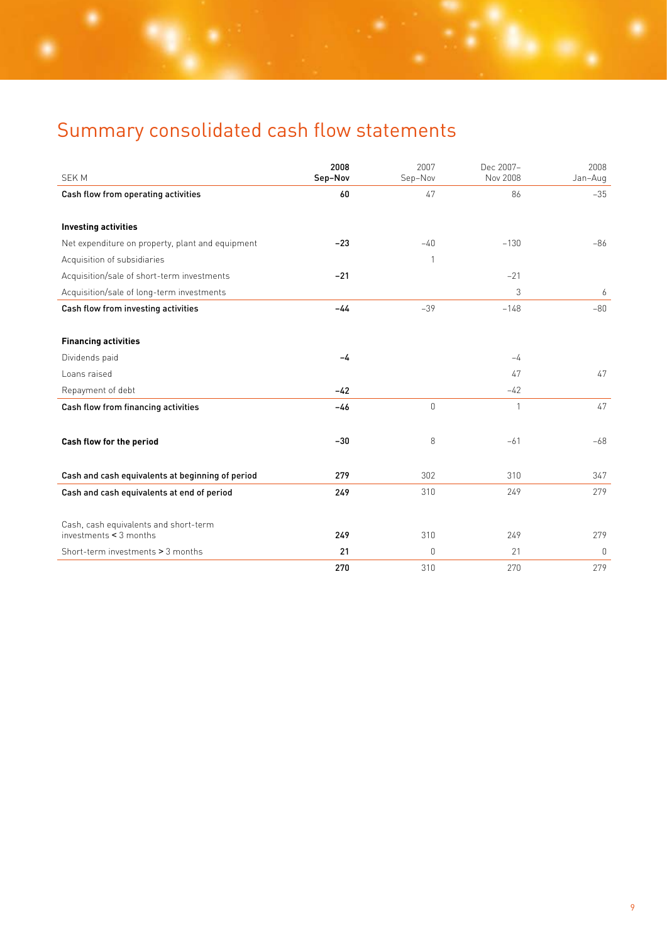# Summary consolidated cash flow statements

| <b>SEKM</b>                                      | 2008<br>Sep-Nov | 2007<br>Sep-Nov | Dec 2007-<br>Nov 2008 | 2008<br>Jan-Aug |
|--------------------------------------------------|-----------------|-----------------|-----------------------|-----------------|
|                                                  | 60              | 47              | 86                    | $-35$           |
| Cash flow from operating activities              |                 |                 |                       |                 |
| <b>Investing activities</b>                      |                 |                 |                       |                 |
| Net expenditure on property, plant and equipment | $-23$           | $-40$           | $-130$                | $-86$           |
| Acquisition of subsidiaries                      |                 | $\mathbf{1}$    |                       |                 |
| Acquisition/sale of short-term investments       | $-21$           |                 | $-21$                 |                 |
| Acquisition/sale of long-term investments        |                 |                 | 3                     | 6               |
| Cash flow from investing activities              | $-44$           | $-39$           | $-148$                | $-80$           |
|                                                  |                 |                 |                       |                 |
| <b>Financing activities</b>                      |                 |                 |                       |                 |
| Dividends paid                                   | $-4$            |                 | $-4$                  |                 |
| Loans raised                                     |                 |                 | 47                    | 47              |
| Repayment of debt                                | $-42$           |                 | $-42$                 |                 |
| Cash flow from financing activities              | $-46$           | $\overline{0}$  | 1                     | 47              |
|                                                  |                 |                 |                       |                 |
| Cash flow for the period                         | $-30$           | 8               | $-61$                 | $-68$           |
|                                                  |                 |                 |                       |                 |
| Cash and cash equivalents at beginning of period | 279             | 302             | 310                   | 347             |
| Cash and cash equivalents at end of period       | 249             | 310             | 249                   | 279             |
|                                                  |                 |                 |                       |                 |
| Cash, cash equivalents and short-term            |                 |                 |                       |                 |
| investments $\leq$ 3 months                      | 249             | 310             | 249                   | 279             |
| Short-term investments > 3 months                | 21              | $\Omega$        | 21                    | $\mathbf 0$     |
|                                                  | 270             | 310             | 270                   | 279             |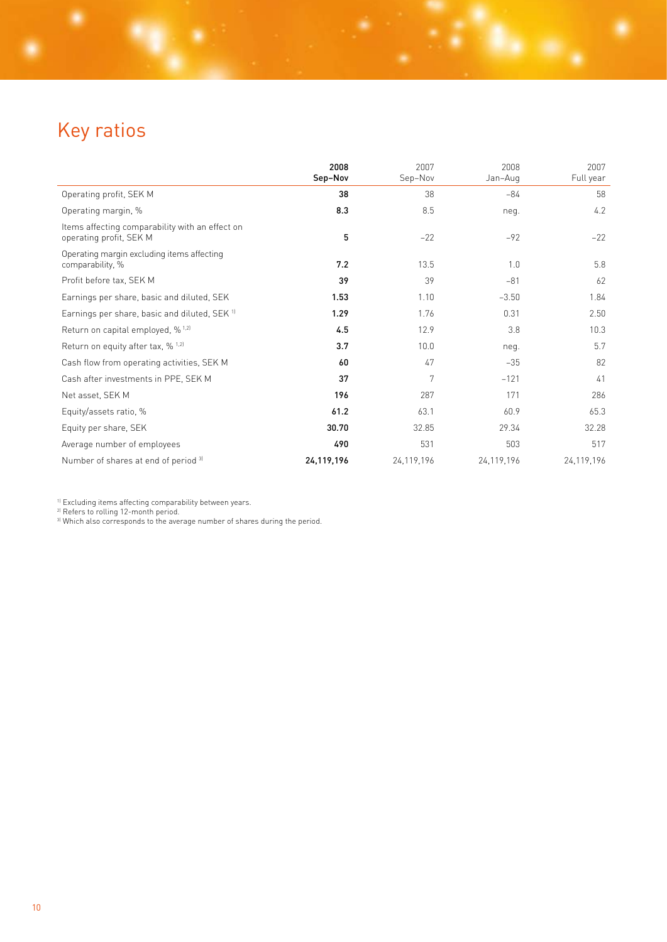# Key ratios

|                                                                            | 2008<br>Sep-Nov | 2007<br>Sep-Nov | 2008<br>Jan-Aug | 2007<br>Full year |
|----------------------------------------------------------------------------|-----------------|-----------------|-----------------|-------------------|
| Operating profit, SEK M                                                    | 38              | 38              | $-84$           | 58                |
| Operating margin, %                                                        | 8.3             | 8.5             | neg.            | 4.2               |
| Items affecting comparability with an effect on<br>operating profit, SEK M | 5               | $-22$           | $-92$           | $-22$             |
| Operating margin excluding items affecting<br>comparability, %             | 7.2             | 13.5            | 1.0             | 5.8               |
| Profit before tax, SEK M                                                   | 39              | 39              | $-81$           | 62                |
| Earnings per share, basic and diluted, SEK                                 | 1.53            | 1.10            | $-3.50$         | 1.84              |
| Earnings per share, basic and diluted, SEK 11                              | 1.29            | 1.76            | 0.31            | 2.50              |
| Return on capital employed, % <sup>1,2)</sup>                              | 4.5             | 12.9            | 3.8             | 10.3              |
| Return on equity after tax, % 1,2]                                         | 3.7             | 10.0            | neq.            | 5.7               |
| Cash flow from operating activities, SEK M                                 | 60              | 47              | $-35$           | 82                |
| Cash after investments in PPE, SEK M                                       | 37              | 7               | $-121$          | 41                |
| Net asset, SEK M                                                           | 196             | 287             | 171             | 286               |
| Equity/assets ratio, %                                                     | 61.2            | 63.1            | 60.9            | 65.3              |
| Equity per share, SEK                                                      | 30.70           | 32.85           | 29.34           | 32.28             |
| Average number of employees                                                | 490             | 531             | 503             | 517               |
| Number of shares at end of period 31                                       | 24,119,196      | 24,119,196      | 24,119,196      | 24,119,196        |

1) Excluding items affecting comparability between years.

2) Refers to rolling 12-month period.

<sup>3)</sup> Which also corresponds to the average number of shares during the period.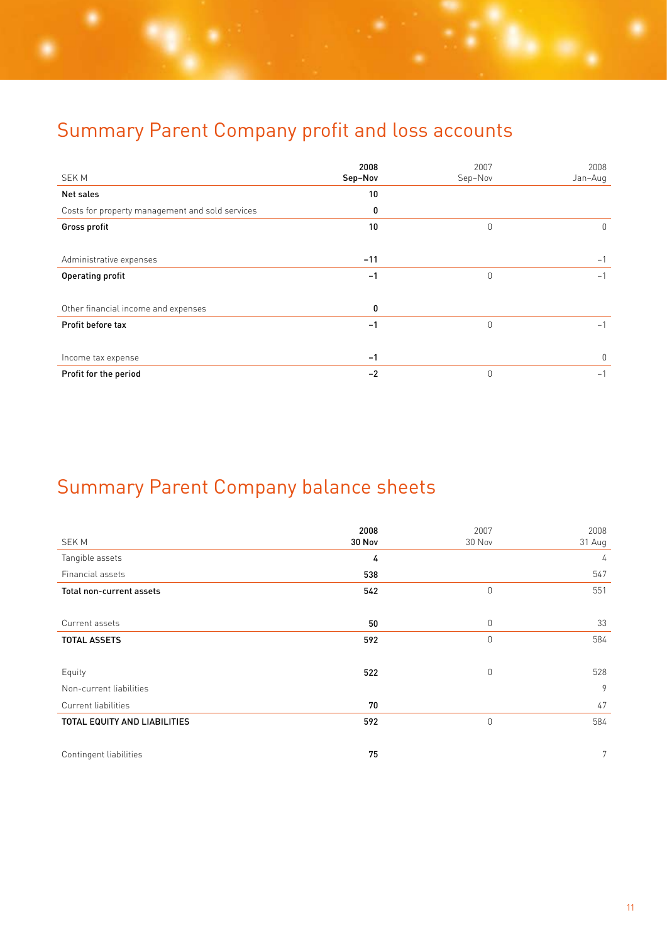## Summary Parent Company profit and loss accounts

|                                                 | 2008    | 2007           | 2008         |
|-------------------------------------------------|---------|----------------|--------------|
| <b>SEKM</b>                                     | Sep-Nov | Sep-Nov        | Jan-Aug      |
| Net sales                                       | 10      |                |              |
| Costs for property management and sold services | 0       |                |              |
| Gross profit                                    | 10      | $\mathbf 0$    | $\mathbf{0}$ |
|                                                 |         |                |              |
| Administrative expenses                         | $-11$   |                | $-1$         |
| <b>Operating profit</b>                         | $-1$    | $\mathbf 0$    | $-1$         |
|                                                 |         |                |              |
| Other financial income and expenses             | 0       |                |              |
| Profit before tax                               | $-1$    | $\mathbf 0$    | $-1$         |
|                                                 |         |                |              |
| Income tax expense                              | $-1$    |                | $\mathbf{0}$ |
| Profit for the period                           | $-2$    | $\overline{0}$ | $-1$         |

# Summary Parent Company balance sheets

|                              | 2008   | 2007        | 2008        |
|------------------------------|--------|-------------|-------------|
| <b>SEKM</b>                  | 30 Nov | 30 Nov      | 31 Aug      |
| Tangible assets              | 4      |             | 4           |
| Financial assets             | 538    |             | 547         |
| Total non-current assets     | 542    | $\mathbb O$ | 551         |
|                              |        |             |             |
| Current assets               | 50     | $\mathbf 0$ | 33          |
| <b>TOTAL ASSETS</b>          | 592    | $\mathbf 0$ | 584         |
|                              |        |             |             |
| Equity                       | 522    | $\mathbf 0$ | 528         |
| Non-current liabilities      |        |             | 9           |
| Current liabilities          | 70     |             | 47          |
| TOTAL EQUITY AND LIABILITIES | 592    | $\theta$    | 584         |
|                              |        |             |             |
| Contingent liabilities       | 75     |             | $7^{\circ}$ |